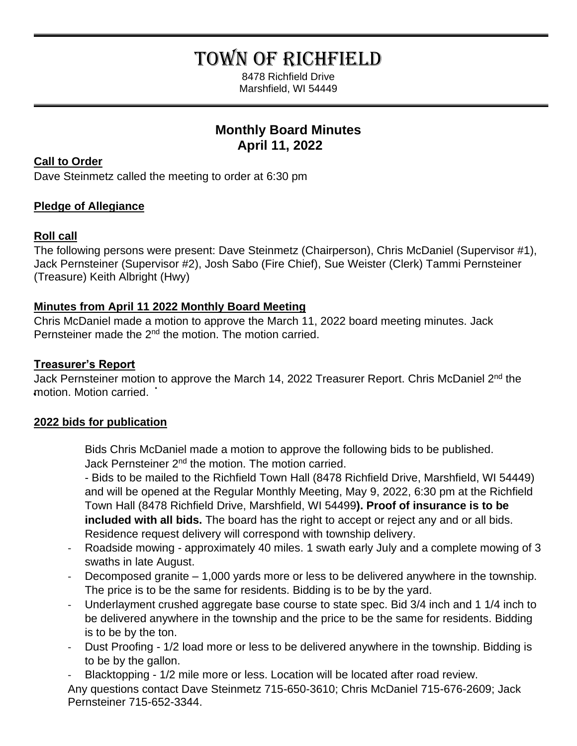# TOWN OF RICHFIELD

8478 Richfield Drive Marshfield, WI 54449

# **Monthly Board Minutes April 11, 2022**

## **Call to Order**

Dave Steinmetz called the meeting to order at 6:30 pm

# **Pledge of Allegiance**

# **Roll call**

The following persons were present: Dave Steinmetz (Chairperson), Chris McDaniel (Supervisor #1), Jack Pernsteiner (Supervisor #2), Josh Sabo (Fire Chief), Sue Weister (Clerk) Tammi Pernsteiner (Treasure) Keith Albright (Hwy)

# **Minutes from April 11 2022 Monthly Board Meeting**

Chris McDaniel made a motion to approve the March 11, 2022 board meeting minutes. Jack Pernsteiner made the 2<sup>nd</sup> the motion. The motion carried.

# **Treasurer's Report**

Jack Pernsteiner motion to approve the March 14, 2022 Treasurer Report. Chris McDaniel 2<sup>nd</sup> the motion. Motion carried. .

# **2022 bids for publication**

Bids Chris McDaniel made a motion to approve the following bids to be published. Jack Pernsteiner 2<sup>nd</sup> the motion. The motion carried.

- Bids to be mailed to the Richfield Town Hall (8478 Richfield Drive, Marshfield, WI 54449) and will be opened at the Regular Monthly Meeting, May 9, 2022, 6:30 pm at the Richfield Town Hall (8478 Richfield Drive, Marshfield, WI 54499**). Proof of insurance is to be included with all bids.** The board has the right to accept or reject any and or all bids. Residence request delivery will correspond with township delivery.

- Roadside mowing approximately 40 miles. 1 swath early July and a complete mowing of 3 swaths in late August.
- Decomposed granite 1,000 yards more or less to be delivered anywhere in the township. The price is to be the same for residents. Bidding is to be by the yard.
- Underlayment crushed aggregate base course to state spec. Bid 3/4 inch and 1 1/4 inch to be delivered anywhere in the township and the price to be the same for residents. Bidding is to be by the ton.
- Dust Proofing 1/2 load more or less to be delivered anywhere in the township. Bidding is to be by the gallon.
- Blacktopping 1/2 mile more or less. Location will be located after road review.

Any questions contact Dave Steinmetz 715-650-3610; Chris McDaniel 715-676-2609; Jack Pernsteiner 715-652-3344.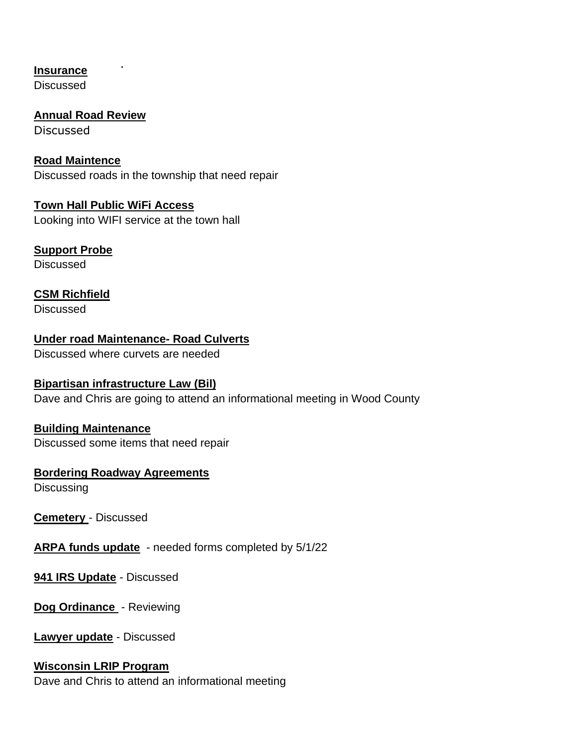**Insurance**

Discussed

**Annual Road Review** Discussed

**Road Maintence**  Discussed roads in the township that need repair

**Town Hall Public WiFi Access** Looking into WIFI service at the town hall

**Support Probe**

**Discussed** 

**CSM Richfield Discussed** 

**Under road Maintenance- Road Culverts** Discussed where curvets are needed

## **Bipartisan infrastructure Law (Bil)**

Dave and Chris are going to attend an informational meeting in Wood County

## **Building Maintenance**

Discussed some items that need repair

## **Bordering Roadway Agreements**

**Discussing** 

**Cemetery** - Discussed

**ARPA funds update** - needed forms completed by 5/1/22

**941 IRS Update** - Discussed

**Dog Ordinance** - Reviewing

**Lawyer update** - Discussed

#### **Wisconsin LRIP Program**

Dave and Chris to attend an informational meeting